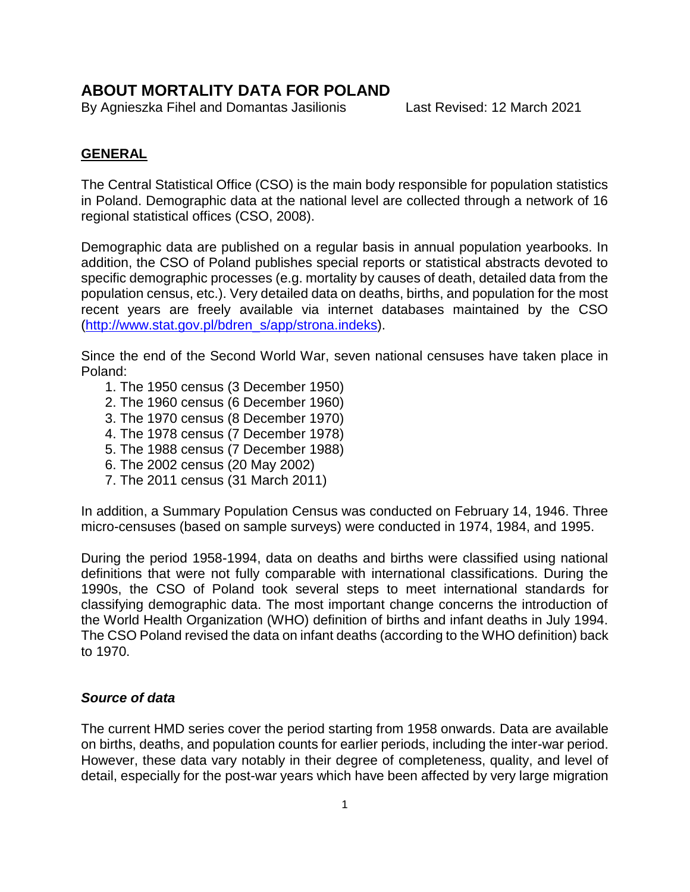# **ABOUT MORTALITY DATA FOR POLAND**

By Agnieszka Fihel and Domantas Jasilionis Last Revised: 12 March 2021

## **GENERAL**

The Central Statistical Office (CSO) is the main body responsible for population statistics in Poland. Demographic data at the national level are collected through a network of 16 regional statistical offices (CSO, 2008).

Demographic data are published on a regular basis in annual population yearbooks. In addition, the CSO of Poland publishes special reports or statistical abstracts devoted to specific demographic processes (e.g. mortality by causes of death, detailed data from the population census, etc.). Very detailed data on deaths, births, and population for the most recent years are freely available via internet databases maintained by the CSO [\(http://www.stat.gov.pl/bdren\\_s/app/strona.indeks\)](http://www.stat.gov.pl/bdren_s/app/strona.indeks).

Since the end of the Second World War, seven national censuses have taken place in Poland:

- 1. The 1950 census (3 December 1950)
- 2. The 1960 census (6 December 1960)
- 3. The 1970 census (8 December 1970)
- 4. The 1978 census (7 December 1978)
- 5. The 1988 census (7 December 1988)
- 6. The 2002 census (20 May 2002)
- 7. The 2011 census (31 March 2011)

In addition, a Summary Population Census was conducted on February 14, 1946. Three micro-censuses (based on sample surveys) were conducted in 1974, 1984, and 1995.

During the period 1958-1994, data on deaths and births were classified using national definitions that were not fully comparable with international classifications. During the 1990s, the CSO of Poland took several steps to meet international standards for classifying demographic data. The most important change concerns the introduction of the World Health Organization (WHO) definition of births and infant deaths in July 1994. The CSO Poland revised the data on infant deaths (according to the WHO definition) back to 1970.

### *Source of data*

The current HMD series cover the period starting from 1958 onwards. Data are available on births, deaths, and population counts for earlier periods, including the inter-war period. However, these data vary notably in their degree of completeness, quality, and level of detail, especially for the post-war years which have been affected by very large migration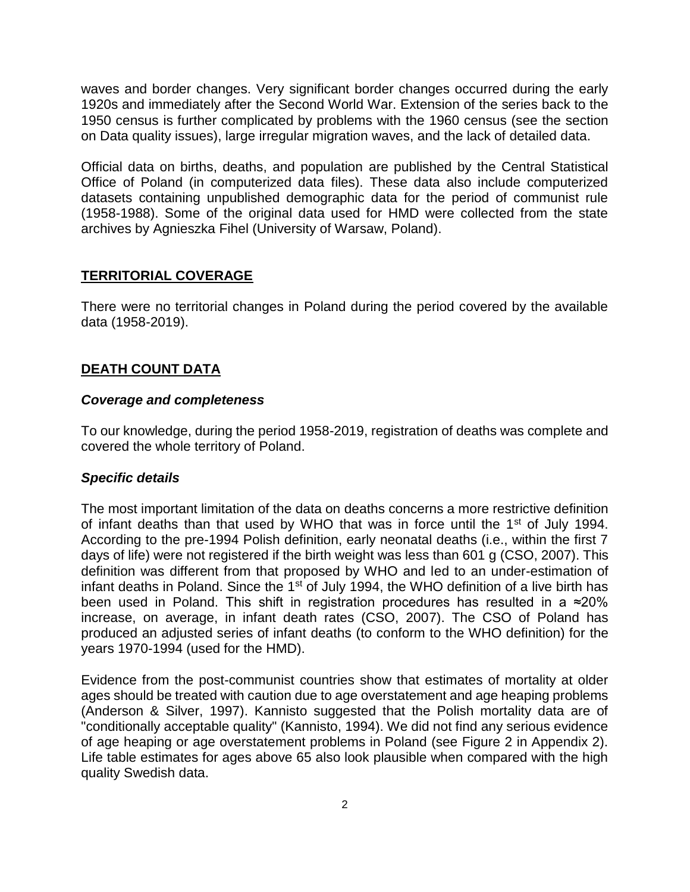waves and border changes. Very significant border changes occurred during the early 1920s and immediately after the Second World War. Extension of the series back to the 1950 census is further complicated by problems with the 1960 census (see the section on Data quality issues), large irregular migration waves, and the lack of detailed data.

Official data on births, deaths, and population are published by the Central Statistical Office of Poland (in computerized data files). These data also include computerized datasets containing unpublished demographic data for the period of communist rule (1958-1988). Some of the original data used for HMD were collected from the state archives by Agnieszka Fihel (University of Warsaw, Poland).

## **TERRITORIAL COVERAGE**

There were no territorial changes in Poland during the period covered by the available data (1958-2019).

## **DEATH COUNT DATA**

### *Coverage and completeness*

To our knowledge, during the period 1958-2019, registration of deaths was complete and covered the whole territory of Poland.

## *Specific details*

The most important limitation of the data on deaths concerns a more restrictive definition of infant deaths than that used by WHO that was in force until the 1<sup>st</sup> of July 1994. According to the pre-1994 Polish definition, early neonatal deaths (i.e., within the first 7 days of life) were not registered if the birth weight was less than 601 g (CSO, 2007). This definition was different from that proposed by WHO and led to an under-estimation of infant deaths in Poland. Since the  $1<sup>st</sup>$  of July 1994, the WHO definition of a live birth has been used in Poland. This shift in registration procedures has resulted in a ≈20% increase, on average, in infant death rates (CSO, 2007). The CSO of Poland has produced an adjusted series of infant deaths (to conform to the WHO definition) for the years 1970-1994 (used for the HMD).

Evidence from the post-communist countries show that estimates of mortality at older ages should be treated with caution due to age overstatement and age heaping problems (Anderson & Silver, 1997). Kannisto suggested that the Polish mortality data are of "conditionally acceptable quality" (Kannisto, 1994). We did not find any serious evidence of age heaping or age overstatement problems in Poland (see Figure 2 in Appendix 2). Life table estimates for ages above 65 also look plausible when compared with the high quality Swedish data.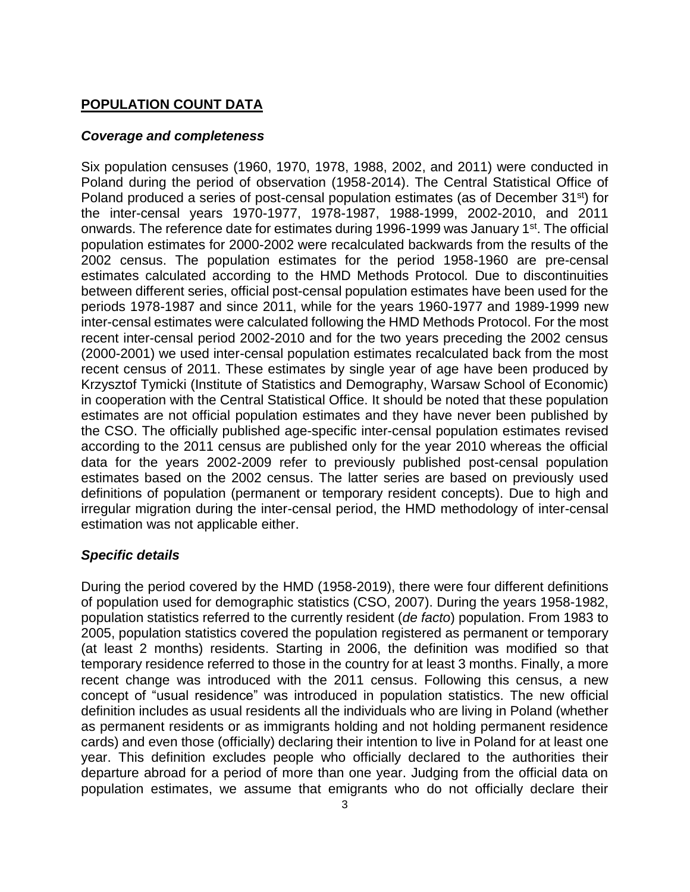## **POPULATION COUNT DATA**

### *Coverage and completeness*

Six population censuses (1960, 1970, 1978, 1988, 2002, and 2011) were conducted in Poland during the period of observation (1958-2014). The Central Statistical Office of Poland produced a series of post-censal population estimates (as of December 31<sup>st</sup>) for the inter-censal years 1970-1977, 1978-1987, 1988-1999, 2002-2010, and 2011 onwards. The reference date for estimates during 1996-1999 was January 1<sup>st</sup>. The official population estimates for 2000-2002 were recalculated backwards from the results of the 2002 census. The population estimates for the period 1958-1960 are pre-censal estimates calculated according to the HMD Methods Protocol*.* Due to discontinuities between different series, official post-censal population estimates have been used for the periods 1978-1987 and since 2011, while for the years 1960-1977 and 1989-1999 new inter-censal estimates were calculated following the HMD Methods Protocol. For the most recent inter-censal period 2002-2010 and for the two years preceding the 2002 census (2000-2001) we used inter-censal population estimates recalculated back from the most recent census of 2011. These estimates by single year of age have been produced by Krzysztof Tymicki (Institute of Statistics and Demography, Warsaw School of Economic) in cooperation with the Central Statistical Office. It should be noted that these population estimates are not official population estimates and they have never been published by the CSO. The officially published age-specific inter-censal population estimates revised according to the 2011 census are published only for the year 2010 whereas the official data for the years 2002-2009 refer to previously published post-censal population estimates based on the 2002 census. The latter series are based on previously used definitions of population (permanent or temporary resident concepts). Due to high and irregular migration during the inter-censal period, the HMD methodology of inter-censal estimation was not applicable either.

## *Specific details*

During the period covered by the HMD (1958-2019), there were four different definitions of population used for demographic statistics (CSO, 2007). During the years 1958-1982, population statistics referred to the currently resident (*de facto*) population. From 1983 to 2005, population statistics covered the population registered as permanent or temporary (at least 2 months) residents. Starting in 2006, the definition was modified so that temporary residence referred to those in the country for at least 3 months. Finally, a more recent change was introduced with the 2011 census. Following this census, a new concept of "usual residence" was introduced in population statistics. The new official definition includes as usual residents all the individuals who are living in Poland (whether as permanent residents or as immigrants holding and not holding permanent residence cards) and even those (officially) declaring their intention to live in Poland for at least one year. This definition excludes people who officially declared to the authorities their departure abroad for a period of more than one year. Judging from the official data on population estimates, we assume that emigrants who do not officially declare their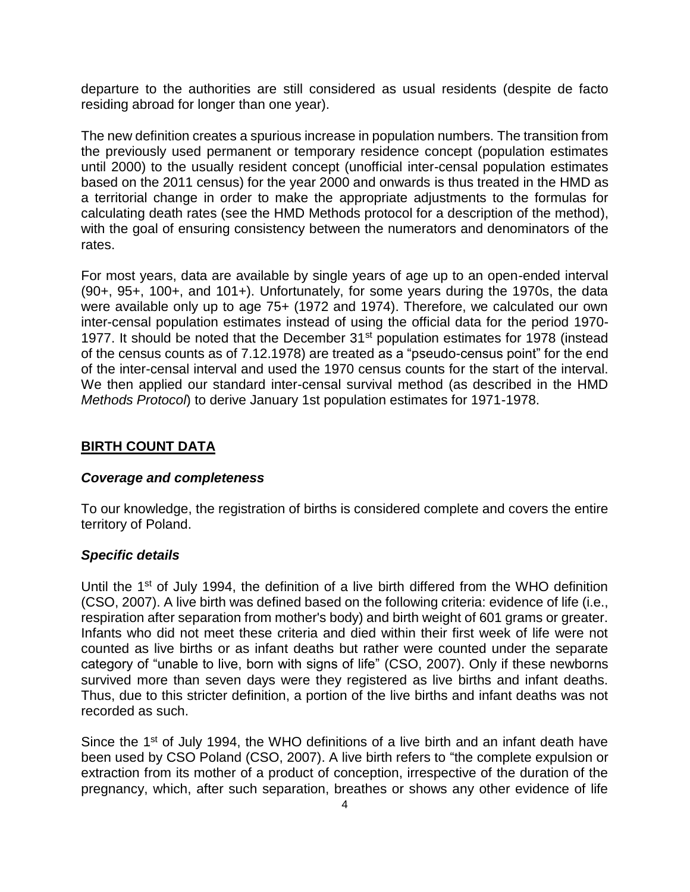departure to the authorities are still considered as usual residents (despite de facto residing abroad for longer than one year).

The new definition creates a spurious increase in population numbers. The transition from the previously used permanent or temporary residence concept (population estimates until 2000) to the usually resident concept (unofficial inter-censal population estimates based on the 2011 census) for the year 2000 and onwards is thus treated in the HMD as a territorial change in order to make the appropriate adjustments to the formulas for calculating death rates (see the HMD Methods protocol for a description of the method), with the goal of ensuring consistency between the numerators and denominators of the rates.

For most years, data are available by single years of age up to an open-ended interval (90+, 95+, 100+, and 101+). Unfortunately, for some years during the 1970s, the data were available only up to age 75+ (1972 and 1974). Therefore, we calculated our own inter-censal population estimates instead of using the official data for the period 1970- 1977. It should be noted that the December  $31<sup>st</sup>$  population estimates for 1978 (instead of the census counts as of 7.12.1978) are treated as a "pseudo-census point" for the end of the inter-censal interval and used the 1970 census counts for the start of the interval. We then applied our standard inter-censal survival method (as described in the HMD *Methods Protocol*) to derive January 1st population estimates for 1971-1978.

## **BIRTH COUNT DATA**

### *Coverage and completeness*

To our knowledge, the registration of births is considered complete and covers the entire territory of Poland.

## *Specific details*

Until the  $1<sup>st</sup>$  of July 1994, the definition of a live birth differed from the WHO definition (CSO, 2007). A live birth was defined based on the following criteria: evidence of life (i.e., respiration after separation from mother's body) and birth weight of 601 grams or greater. Infants who did not meet these criteria and died within their first week of life were not counted as live births or as infant deaths but rather were counted under the separate category of "unable to live, born with signs of life" (CSO, 2007). Only if these newborns survived more than seven days were they registered as live births and infant deaths. Thus, due to this stricter definition, a portion of the live births and infant deaths was not recorded as such.

Since the 1<sup>st</sup> of July 1994, the WHO definitions of a live birth and an infant death have been used by CSO Poland (CSO, 2007). A live birth refers to "the complete expulsion or extraction from its mother of a product of conception, irrespective of the duration of the pregnancy, which, after such separation, breathes or shows any other evidence of life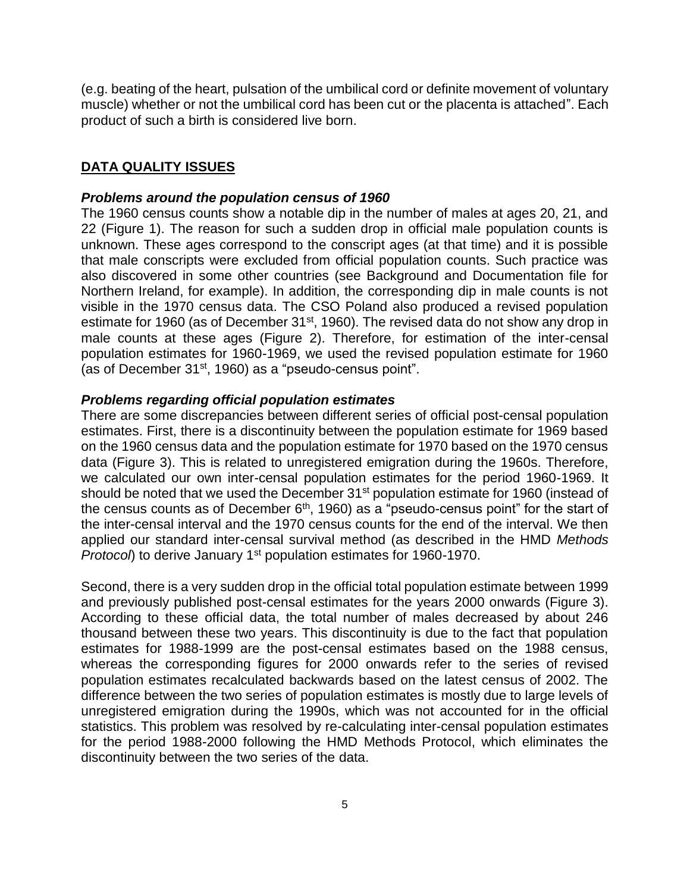(e.g. beating of the heart, pulsation of the umbilical cord or definite movement of voluntary muscle) whether or not the umbilical cord has been cut or the placenta is attached". Each product of such a birth is considered live born.

#### **DATA QUALITY ISSUES**

#### *Problems around the population census of 1960*

The 1960 census counts show a notable dip in the number of males at ages 20, 21, and 22 (Figure 1). The reason for such a sudden drop in official male population counts is unknown. These ages correspond to the conscript ages (at that time) and it is possible that male conscripts were excluded from official population counts. Such practice was also discovered in some other countries (see Background and Documentation file for Northern Ireland, for example). In addition, the corresponding dip in male counts is not visible in the 1970 census data. The CSO Poland also produced a revised population estimate for 1960 (as of December 31<sup>st</sup>, 1960). The revised data do not show any drop in male counts at these ages (Figure 2). Therefore, for estimation of the inter-censal population estimates for 1960-1969, we used the revised population estimate for 1960 (as of December 31<sup>st</sup>, 1960) as a "pseudo-census point".

#### *Problems regarding official population estimates*

There are some discrepancies between different series of official post-censal population estimates. First, there is a discontinuity between the population estimate for 1969 based on the 1960 census data and the population estimate for 1970 based on the 1970 census data (Figure 3). This is related to unregistered emigration during the 1960s. Therefore, we calculated our own inter-censal population estimates for the period 1960-1969. It should be noted that we used the December 31<sup>st</sup> population estimate for 1960 (instead of the census counts as of December  $6<sup>th</sup>$ , 1960) as a "pseudo-census point" for the start of the inter-censal interval and the 1970 census counts for the end of the interval. We then applied our standard inter-censal survival method (as described in the HMD *Methods Protocol*) to derive January 1<sup>st</sup> population estimates for 1960-1970.

Second, there is a very sudden drop in the official total population estimate between 1999 and previously published post-censal estimates for the years 2000 onwards (Figure 3). According to these official data, the total number of males decreased by about 246 thousand between these two years. This discontinuity is due to the fact that population estimates for 1988-1999 are the post-censal estimates based on the 1988 census, whereas the corresponding figures for 2000 onwards refer to the series of revised population estimates recalculated backwards based on the latest census of 2002. The difference between the two series of population estimates is mostly due to large levels of unregistered emigration during the 1990s, which was not accounted for in the official statistics. This problem was resolved by re-calculating inter-censal population estimates for the period 1988-2000 following the HMD Methods Protocol, which eliminates the discontinuity between the two series of the data.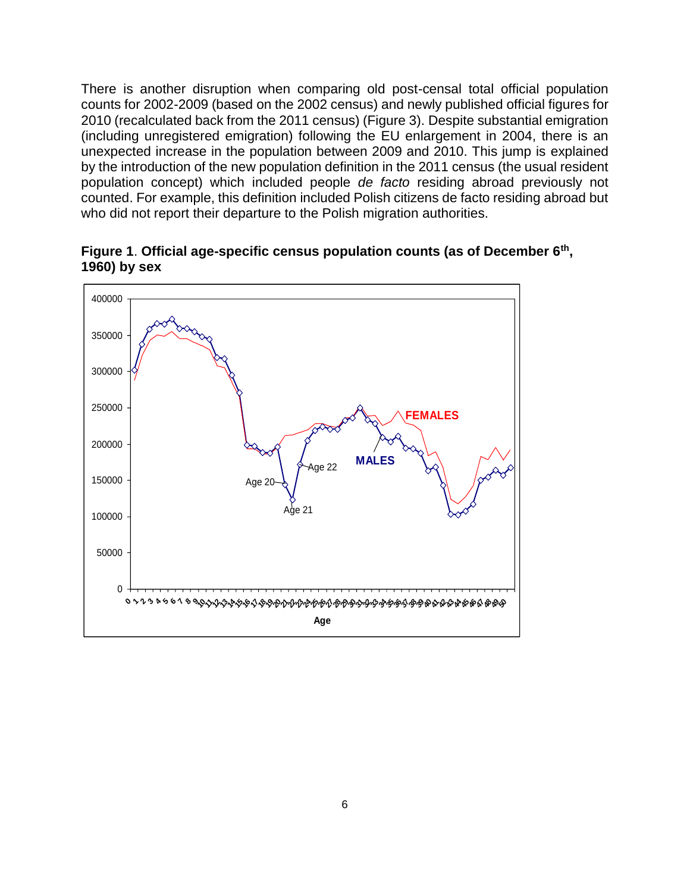There is another disruption when comparing old post-censal total official population counts for 2002-2009 (based on the 2002 census) and newly published official figures for 2010 (recalculated back from the 2011 census) (Figure 3). Despite substantial emigration (including unregistered emigration) following the EU enlargement in 2004, there is an unexpected increase in the population between 2009 and 2010. This jump is explained by the introduction of the new population definition in the 2011 census (the usual resident population concept) which included people *de facto* residing abroad previously not counted. For example, this definition included Polish citizens de facto residing abroad but who did not report their departure to the Polish migration authorities.



**Figure 1**. **Official age-specific census population counts (as of December 6th , 1960) by sex**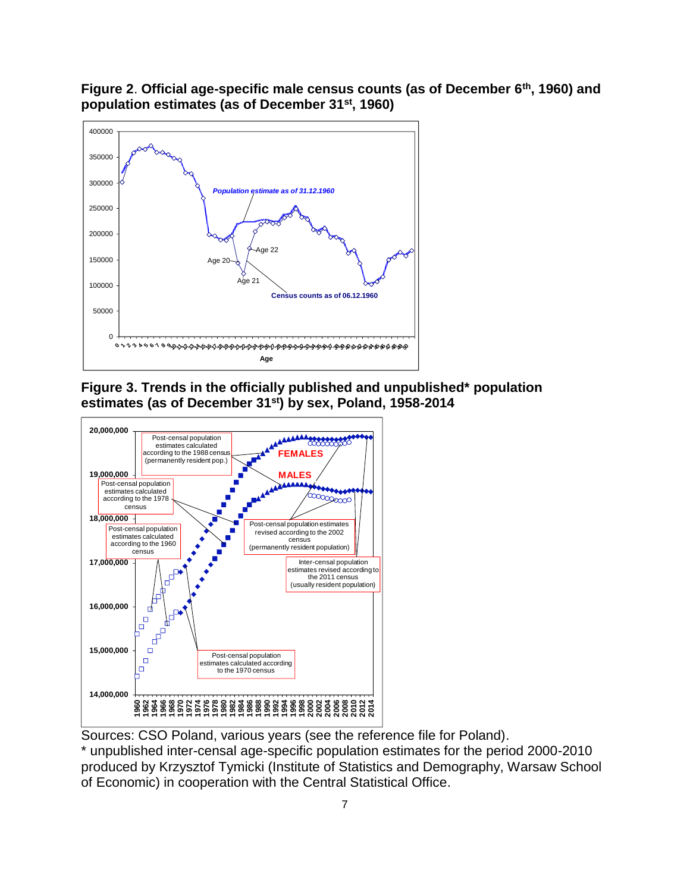**Figure 2**. **Official age-specific male census counts (as of December 6th, 1960) and population estimates (as of December 31st, 1960)**







Sources: CSO Poland, various years (see the reference file for Poland).

\* unpublished inter-censal age-specific population estimates for the period 2000-2010 produced by Krzysztof Tymicki (Institute of Statistics and Demography, Warsaw School of Economic) in cooperation with the Central Statistical Office.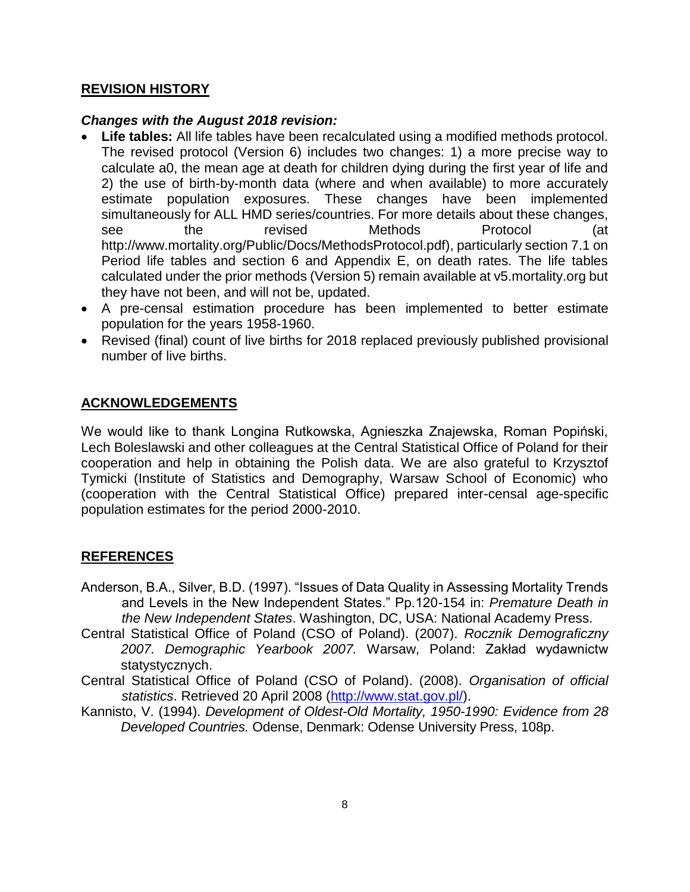### **REVISION HISTORY**

### *Changes with the August 2018 revision:*

- **Life tables:** All life tables have been recalculated using a modified methods protocol. The revised protocol (Version 6) includes two changes: 1) a more precise way to calculate a0, the mean age at death for children dying during the first year of life and 2) the use of birth-by-month data (where and when available) to more accurately estimate population exposures. These changes have been implemented simultaneously for ALL HMD series/countries. For more details about these changes, see the revised Methods Protocol (at http://www.mortality.org/Public/Docs/MethodsProtocol.pdf), particularly section 7.1 on Period life tables and section 6 and Appendix E, on death rates. The life tables calculated under the prior methods (Version 5) remain available at v5.mortality.org but they have not been, and will not be, updated.
- A pre-censal estimation procedure has been implemented to better estimate population for the years 1958-1960.
- Revised (final) count of live births for 2018 replaced previously published provisional number of live births.

## **ACKNOWLEDGEMENTS**

We would like to thank Longina Rutkowska, Agnieszka Znajewska, Roman Popiński, Lech Boleslawski and other colleagues at the Central Statistical Office of Poland for their cooperation and help in obtaining the Polish data. We are also grateful to Krzysztof Tymicki (Institute of Statistics and Demography, Warsaw School of Economic) who (cooperation with the Central Statistical Office) prepared inter-censal age-specific population estimates for the period 2000-2010.

## **REFERENCES**

- Anderson, B.A., Silver, B.D. (1997). "Issues of Data Quality in Assessing Mortality Trends and Levels in the New Independent States." Pp.120-154 in: *Premature Death in the New Independent States*. Washington, DC, USA: National Academy Press.
- Central Statistical Office of Poland (CSO of Poland). (2007). *Rocznik Demograficzny 2007. Demographic Yearbook 2007.* Warsaw, Poland: Zakład wydawnictw statystycznych.
- Central Statistical Office of Poland (CSO of Poland). (2008). *Organisation of official statistics*. Retrieved 20 April 2008 [\(http://www.stat.gov.pl/\)](http://www.stat.gov.pl/).
- Kannisto, V. (1994). *Development of Oldest-Old Mortality, 1950-1990: Evidence from 28 Developed Countries.* Odense, Denmark: Odense University Press, 108p.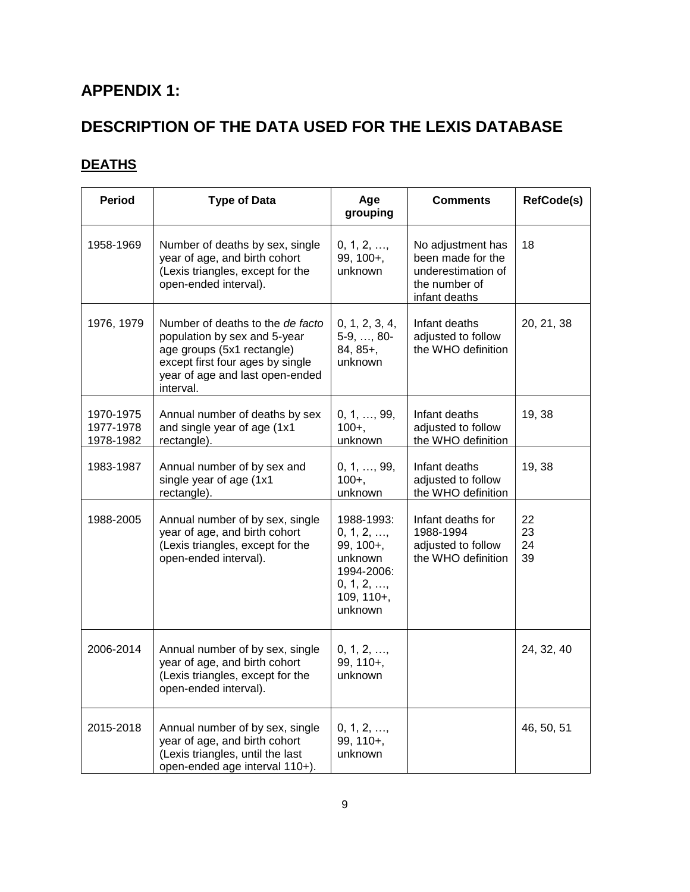# **APPENDIX 1:**

# **DESCRIPTION OF THE DATA USED FOR THE LEXIS DATABASE**

# **DEATHS**

| <b>Period</b>                       | <b>Type of Data</b>                                                                                                                                                                | Age<br>grouping                                                                                       | <b>Comments</b>                                                                                | RefCode(s)           |
|-------------------------------------|------------------------------------------------------------------------------------------------------------------------------------------------------------------------------------|-------------------------------------------------------------------------------------------------------|------------------------------------------------------------------------------------------------|----------------------|
| 1958-1969                           | Number of deaths by sex, single<br>year of age, and birth cohort<br>(Lexis triangles, except for the<br>open-ended interval).                                                      | 0, 1, 2, ,<br>99, 100+,<br>unknown                                                                    | No adjustment has<br>been made for the<br>underestimation of<br>the number of<br>infant deaths | 18                   |
| 1976, 1979                          | Number of deaths to the de facto<br>population by sex and 5-year<br>age groups (5x1 rectangle)<br>except first four ages by single<br>year of age and last open-ended<br>interval. | 0, 1, 2, 3, 4,<br>5-9, , 80-<br>84, 85+,<br>unknown                                                   | Infant deaths<br>adjusted to follow<br>the WHO definition                                      | 20, 21, 38           |
| 1970-1975<br>1977-1978<br>1978-1982 | Annual number of deaths by sex<br>and single year of age (1x1<br>rectangle).                                                                                                       | 0, 1, , 99,<br>$100 +$ .<br>unknown                                                                   | Infant deaths<br>adjusted to follow<br>the WHO definition                                      | 19, 38               |
| 1983-1987                           | Annual number of by sex and<br>single year of age (1x1<br>rectangle).                                                                                                              | 0, 1, , 99,<br>$100+,$<br>unknown                                                                     | Infant deaths<br>adjusted to follow<br>the WHO definition                                      | 19, 38               |
| 1988-2005                           | Annual number of by sex, single<br>year of age, and birth cohort<br>(Lexis triangles, except for the<br>open-ended interval).                                                      | 1988-1993:<br>0, 1, 2, ,<br>99, 100+,<br>unknown<br>1994-2006:<br>0, 1, 2, ,<br>109, 110+,<br>unknown | Infant deaths for<br>1988-1994<br>adjusted to follow<br>the WHO definition                     | 22<br>23<br>24<br>39 |
| 2006-2014                           | Annual number of by sex, single<br>year of age, and birth cohort<br>(Lexis triangles, except for the<br>open-ended interval).                                                      | 0, 1, 2, ,<br>99, 110+,<br>unknown                                                                    |                                                                                                | 24, 32, 40           |
| 2015-2018                           | Annual number of by sex, single<br>year of age, and birth cohort<br>(Lexis triangles, until the last<br>open-ended age interval 110+).                                             | 0, 1, 2, ,<br>99, 110+,<br>unknown                                                                    |                                                                                                | 46, 50, 51           |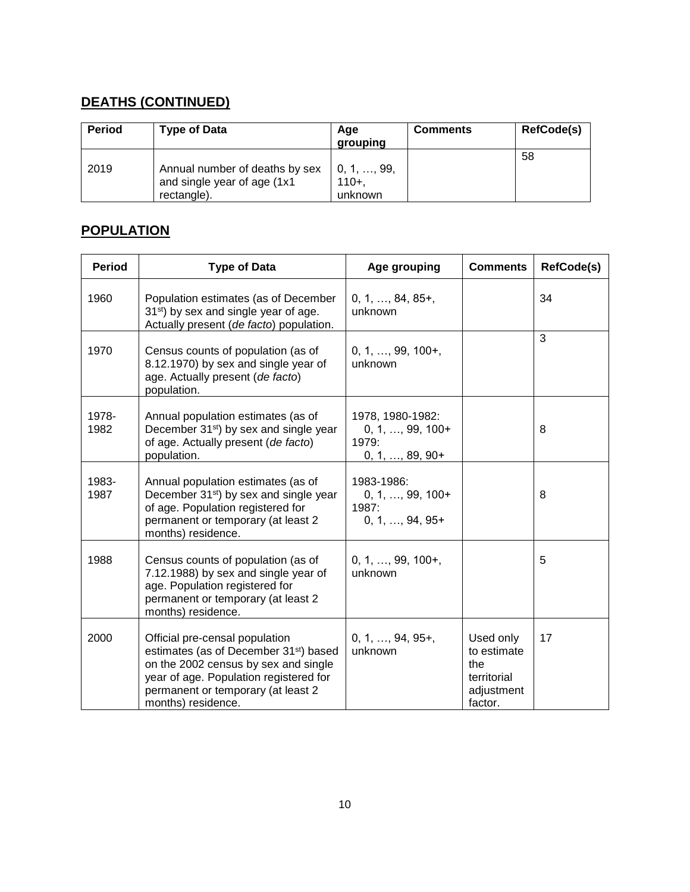# **DEATHS (CONTINUED)**

| Period | <b>Type of Data</b>                                                          | Age<br>grouping                    | <b>Comments</b> | RefCode(s) |
|--------|------------------------------------------------------------------------------|------------------------------------|-----------------|------------|
| 2019   | Annual number of deaths by sex<br>and single year of age (1x1<br>rectangle). | 0, 1, , 99,<br>$110+$ ,<br>unknown |                 | 58         |

## **POPULATION**

| <b>Period</b> | <b>Type of Data</b>                                                                                                                                                                                                                | Age grouping                                                         | <b>Comments</b>                                                         | <b>RefCode(s)</b> |
|---------------|------------------------------------------------------------------------------------------------------------------------------------------------------------------------------------------------------------------------------------|----------------------------------------------------------------------|-------------------------------------------------------------------------|-------------------|
| 1960          | Population estimates (as of December<br>31 <sup>st</sup> ) by sex and single year of age.<br>Actually present (de facto) population.                                                                                               | $0, 1, , 84, 85+,$<br>unknown                                        |                                                                         | 34                |
| 1970          | Census counts of population (as of<br>8.12.1970) by sex and single year of<br>age. Actually present (de facto)<br>population.                                                                                                      | $0, 1, , 99, 100+,$<br>unknown                                       |                                                                         | 3                 |
| 1978-<br>1982 | Annual population estimates (as of<br>December 31 <sup>st</sup> ) by sex and single year<br>of age. Actually present (de facto)<br>population.                                                                                     | 1978, 1980-1982:<br>$0, 1, , 99, 100+$<br>1979:<br>$0, 1, , 89, 90+$ |                                                                         | 8                 |
| 1983-<br>1987 | Annual population estimates (as of<br>December 31 <sup>st</sup> ) by sex and single year<br>of age. Population registered for<br>permanent or temporary (at least 2<br>months) residence.                                          | 1983-1986:<br>$0, 1, , 99, 100+$<br>1987:<br>$0, 1, , 94, 95+$       |                                                                         | 8                 |
| 1988          | Census counts of population (as of<br>7.12.1988) by sex and single year of<br>age. Population registered for<br>permanent or temporary (at least 2<br>months) residence.                                                           | $0, 1, , 99, 100+,$<br>unknown                                       |                                                                         | 5                 |
| 2000          | Official pre-censal population<br>estimates (as of December 31 <sup>st</sup> ) based<br>on the 2002 census by sex and single<br>year of age. Population registered for<br>permanent or temporary (at least 2<br>months) residence. | $0, 1, , 94, 95+,$<br>unknown                                        | Used only<br>to estimate<br>the<br>territorial<br>adjustment<br>factor. | 17                |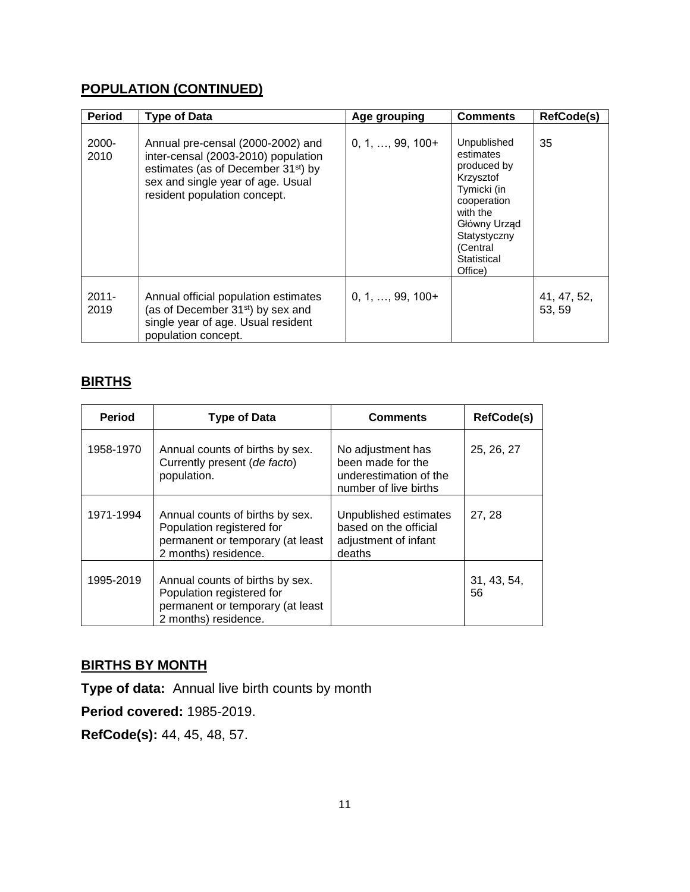# **POPULATION (CONTINUED)**

| <b>Period</b>    | <b>Type of Data</b>                                                                                                                                                                              | Age grouping             | <b>Comments</b>                                                                                                                                                      | <b>RefCode(s)</b>     |
|------------------|--------------------------------------------------------------------------------------------------------------------------------------------------------------------------------------------------|--------------------------|----------------------------------------------------------------------------------------------------------------------------------------------------------------------|-----------------------|
| 2000-<br>2010    | Annual pre-censal (2000-2002) and<br>inter-censal (2003-2010) population<br>estimates (as of December 31 <sup>st</sup> ) by<br>sex and single year of age. Usual<br>resident population concept. | $0, 1, \ldots, 99, 100+$ | Unpublished<br>estimates<br>produced by<br>Krzysztof<br>Tymicki (in<br>cooperation<br>with the<br>Główny Urząd<br>Statystyczny<br>(Central<br>Statistical<br>Office) | 35                    |
| $2011 -$<br>2019 | Annual official population estimates<br>(as of December 31 <sup>st</sup> ) by sex and<br>single year of age. Usual resident<br>population concept.                                               | $0, 1, \ldots, 99, 100+$ |                                                                                                                                                                      | 41, 47, 52,<br>53, 59 |

## **BIRTHS**

| <b>Period</b> | <b>Type of Data</b>                                                                                                      | <b>Comments</b>                                                                           | <b>RefCode(s)</b> |
|---------------|--------------------------------------------------------------------------------------------------------------------------|-------------------------------------------------------------------------------------------|-------------------|
| 1958-1970     | Annual counts of births by sex.<br>Currently present (de facto)<br>population.                                           | No adjustment has<br>been made for the<br>underestimation of the<br>number of live births | 25, 26, 27        |
| 1971-1994     | Annual counts of births by sex.<br>Population registered for<br>permanent or temporary (at least<br>2 months) residence. | Unpublished estimates<br>based on the official<br>adjustment of infant<br>deaths          | 27, 28            |
| 1995-2019     | Annual counts of births by sex.<br>Population registered for<br>permanent or temporary (at least<br>2 months) residence. |                                                                                           | 31, 43, 54,<br>56 |

## **BIRTHS BY MONTH**

**Type of data:** Annual live birth counts by month

**Period covered:** 1985-2019.

**RefCode(s):** 44, 45, 48, 57.